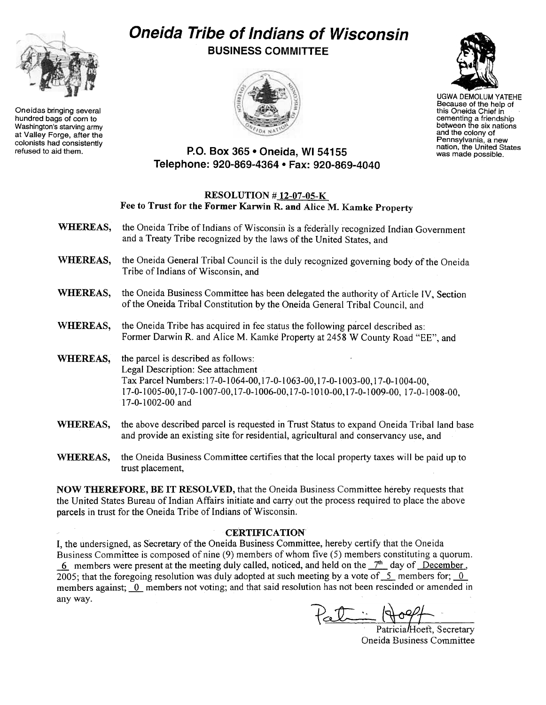

Oneidas bringing several hundred bags of corn to Washington's starving army at Valley Forge, after the colonists had consistently<br>refused to aid them.

## Oneida Tribe of Indians of Wisconsin BUSINESS COMMITTEE





UGWA DEMOLUM YATEHE Because of the help of this Oneida Chief in cementing a friendship<br>between the six nation and the colony of Pennsylvania, a new nation, the United States was made possible.

## P.O. Box 365 . Oneida, WI 54155 Telephone: 920-869-4364 · Fax: 920-869-4040

## RESOLUTION # 12-07-05-K Fee to Trust for the Former Karwin R. and Alice M. Kamke Property

- WHEREAS, the Oneida Tribe of Indians of Wisconsin is a federally recognized Indian Government and a Treaty Tribe recognized by the laws of the United States, and
- WHEREAS, the Oneida General Tribal Council is the duly recognized governing body of the Oneida Tribe of Indians of Wisconsin, and
- WHEREAS, the Oneida Business Committee has been delegated the authority of Article IV, Section of the Oneida Tribal Constitution by the Oneida General Tribal Council, and
- WHEREAS, the Oneida Tribe has acquired in fee status the following parcel described as: Former Darwin R. and Alice M. Kamke Property at 2458 W County Road "EE", and
- WHEREAS, the parcel is described as follows: Legal Description: See attachment Tax Parcel Numbers: 17-0-1064-00, 17-0-1063-00, 17-0-1003-00, 17-0-1004-00, 17-0-1005-00,17 -0-1007-00,17 -0-1006-00,17 -0-1010-00,17 -0-1009-00, 17-0-1008-00, 17-0-1002-00 and
- WHEREAS, the above described parcel is requested in Trust Status to expand Oneida Tribal land base and provide an existing site for residential, agricultural and conservancy use, and
- WHEREAS, the Oneida Business Committee certifies that the local property taxes will be paid up to trust placement,

NOW THEREFORE, BE IT RESOLVED, that the Oneida Business Committee hereby requests that the United States Bureau of Indian Affairs initiate and carry out the process required to place the above parcels in trust for the Oneida Tribe of Indians of Wisconsin.

## **CERTIFICATION**

I, the undersigned, as Secretary of the Oneida Business Committee, hereby certify that the Oneida Business Committee is composed of nine (9) members of whom five (5) members constituting a quorum.  $\frac{6}{2}$  members were present at the meeting duly called, noticed, and held on the  $\frac{7^{th}}{2}$  day of December, 2005; that the foregoing resolution was duly adopted at such meeting by a vote of  $\overline{2}$ - members for;  $\overline{0}$ members against; 0 members not voting; and that said resolution has not been rescinded or amended in any way.

 $P_{\alpha} \mathcal{I} \cong \mathbb{R}$ 

Patricia/Hoeft, Secretary Oneida Business Committee